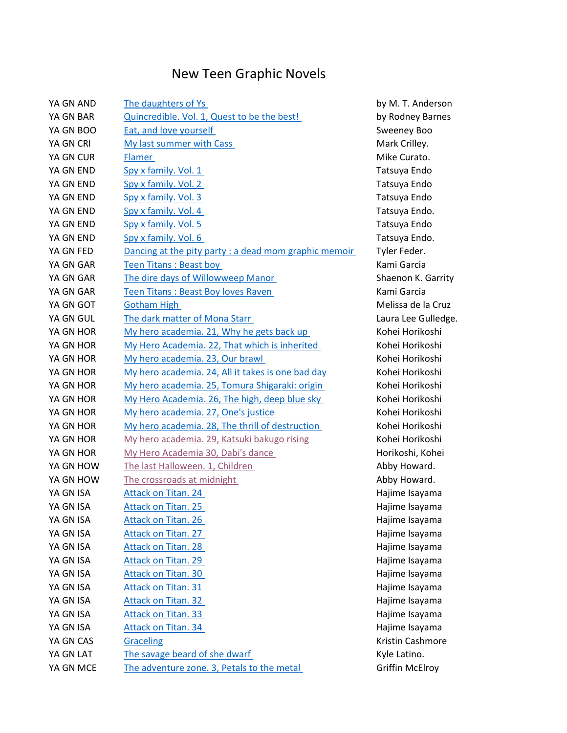## New Teen Graphic Novels

| YA GN AND | <b>The daughters of Ys</b>                            |
|-----------|-------------------------------------------------------|
| YA GN BAR | Quincredible. Vol. 1, Quest to be the best!           |
| YA GN BOO | <b>Eat, and love yourself</b>                         |
| YA GN CRI | My last summer with Cass                              |
| YA GN CUR | Flamer                                                |
| YA GN END | Spy x family. Vol. 1                                  |
| YA GN END | Spy x family. Vol. 2                                  |
| YA GN END | Spy x family. Vol. 3                                  |
| YA GN END | Spy x family. Vol. 4                                  |
| YA GN END | Spy x family. Vol. 5                                  |
| YA GN END | Spy x family. Vol. 6                                  |
| YA GN FED | Dancing at the pity party : a dead mom graphic memoir |
| YA GN GAR | Teen Titans: Beast boy                                |
| YA GN GAR | The dire days of Willowweep Manor                     |
| YA GN GAR | Teen Titans: Beast Boy loves Raven                    |
| YA GN GOT | <b>Gotham High</b>                                    |
| YA GN GUL | The dark matter of Mona Starr                         |
| YA GN HOR | My hero academia. 21, Why he gets back up             |
| YA GN HOR | My Hero Academia. 22, That which is inherited         |
| YA GN HOR | My hero academia. 23, Our brawl                       |
| YA GN HOR | My hero academia. 24, All it takes is one bad day     |
| YA GN HOR | My hero academia. 25, Tomura Shigaraki: origin        |
| YA GN HOR | My Hero Academia. 26, The high, deep blue sky         |
| YA GN HOR | My hero academia. 27, One's justice                   |
| YA GN HOR | My hero academia. 28, The thrill of destruction       |
| YA GN HOR | My hero academia. 29, Katsuki bakugo rising           |
| YA GN HOR | My Hero Academia 30, Dabi's dance                     |
| YA GN HOW | The last Halloween. 1, Children                       |
| YA GN HOW | The crossroads at midnight                            |
| YA GN ISA | <b>Attack on Titan. 24</b>                            |
| YA GN ISA | <b>Attack on Titan. 25</b>                            |
| YA GN ISA | <b>Attack on Titan. 26</b>                            |
| YA GN ISA | <b>Attack on Titan. 27</b>                            |
| YA GN ISA | <b>Attack on Titan. 28</b>                            |
| YA GN ISA | <b>Attack on Titan. 29</b>                            |
| YA GN ISA | <b>Attack on Titan. 30</b>                            |
| YA GN ISA | <b>Attack on Titan. 31</b>                            |
| YA GN ISA | <b>Attack on Titan. 32</b>                            |
| YA GN ISA | <b>Attack on Titan. 33</b>                            |
| YA GN ISA | <b>Attack on Titan. 34</b>                            |
| YA GN CAS | Graceling                                             |
| YA GN LAT | The savage beard of she dwarf                         |
| YA GN MCE | The adventure zone. 3, Petals to the metal            |

by M. T. Anderson by Rodney Barnes Sweeney Boo Mark Crilley. Mike Curato. Tatsuya Endo Tatsuya Endo Tatsuya Endo Tatsuya Endo. Tatsuya Endo Tatsuya Endo. Tyler Feder. Kami Garcia Shaenon K. Garrity Kami Garcia Melissa de la Cruz Laura Lee Gulledge. Kohei Horikoshi Kohei Horikoshi Kohei Horikoshi Kohei Horikoshi Kohei Horikoshi Kohei Horikoshi Kohei Horikoshi Kohei Horikoshi Kohei Horikoshi Horikoshi, Kohei Abby Howard. Abby Howard. Hajime Isayama Hajime Isayama Hajime Isayama Hajime Isayama Hajime Isayama Hajime Isayama Hajime Isayama Hajime Isayama Hajime Isayama Hajime Isayama Hajime Isayama Kristin Cashmore Kyle Latino. Griffin McElroy